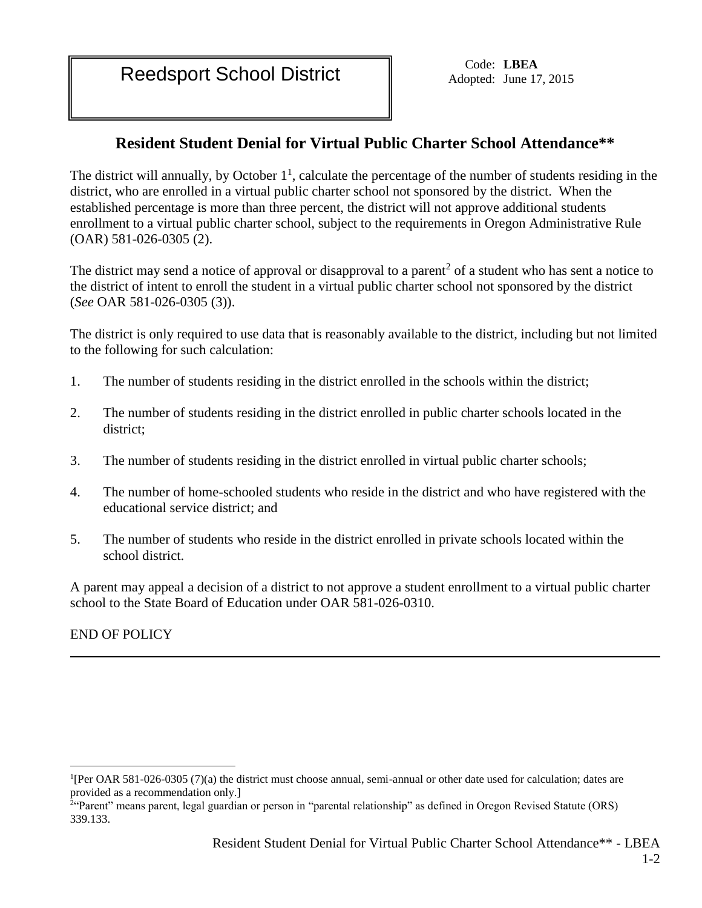Reedsport School District Code: LBEA

Adopted: June 17, 2015

## **Resident Student Denial for Virtual Public Charter School Attendance\*\***

The district will annually, by October  $1<sup>1</sup>$ , calculate the percentage of the number of students residing in the district, who are enrolled in a virtual public charter school not sponsored by the district. When the established percentage is more than three percent, the district will not approve additional students enrollment to a virtual public charter school, subject to the requirements in Oregon Administrative Rule (OAR) 581-026-0305 (2).

The district may send a notice of approval or disapproval to a parent<sup>2</sup> of a student who has sent a notice to the district of intent to enroll the student in a virtual public charter school not sponsored by the district (*See* OAR 581-026-0305 (3)).

The district is only required to use data that is reasonably available to the district, including but not limited to the following for such calculation:

- 1. The number of students residing in the district enrolled in the schools within the district;
- 2. The number of students residing in the district enrolled in public charter schools located in the district;
- 3. The number of students residing in the district enrolled in virtual public charter schools;
- 4. The number of home-schooled students who reside in the district and who have registered with the educational service district; and
- 5. The number of students who reside in the district enrolled in private schools located within the school district.

A parent may appeal a decision of a district to not approve a student enrollment to a virtual public charter school to the State Board of Education under OAR 581-026-0310.

END OF POLICY

 $\overline{a}$ 

<sup>&</sup>lt;sup>1</sup>[Per OAR 581-026-0305 (7)(a) the district must choose annual, semi-annual or other date used for calculation; dates are provided as a recommendation only.]

<sup>&</sup>lt;sup>2</sup>"Parent" means parent, legal guardian or person in "parental relationship" as defined in Oregon Revised Statute (ORS) 339.133.